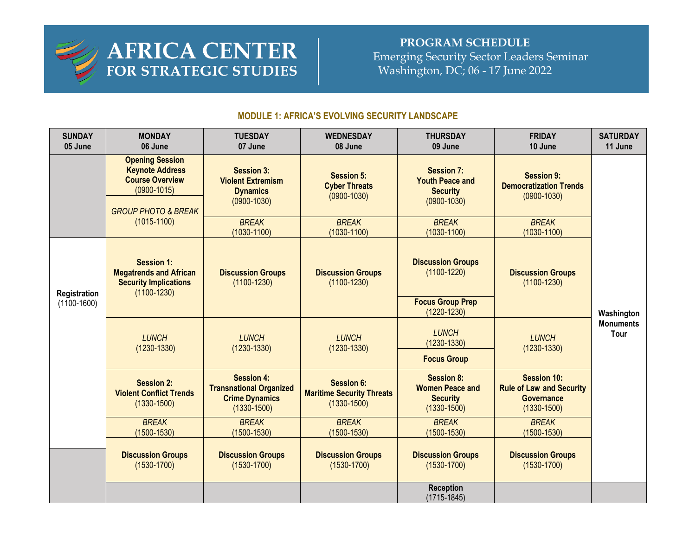

## **PROGRAM SCHEDULE**  Emerging Security Sector Leaders Seminar Washington, DC; 06 - 17 June 2022

## **MODULE 1: AFRICA'S EVOLVING SECURITY LANDSCAPE**

| <b>SUNDAY</b><br>05 June      | <b>MONDAY</b><br>06 June                                                                                                        | <b>TUESDAY</b><br>07 June                                                                       | <b>WEDNESDAY</b><br>08 June                                              | <b>THURSDAY</b><br>09 June                                                        | <b>FRIDAY</b><br>10 June                                                                      | <b>SATURDAY</b><br>11 June                    |
|-------------------------------|---------------------------------------------------------------------------------------------------------------------------------|-------------------------------------------------------------------------------------------------|--------------------------------------------------------------------------|-----------------------------------------------------------------------------------|-----------------------------------------------------------------------------------------------|-----------------------------------------------|
|                               | <b>Opening Session</b><br><b>Keynote Address</b><br><b>Course Overview</b><br>$(0900 - 1015)$<br><b>GROUP PHOTO &amp; BREAK</b> | <b>Session 3:</b><br><b>Violent Extremism</b><br><b>Dynamics</b><br>$(0900 - 1030)$             | <b>Session 5:</b><br><b>Cyber Threats</b><br>$(0900 - 1030)$             | <b>Session 7:</b><br><b>Youth Peace and</b><br><b>Security</b><br>$(0900 - 1030)$ | <b>Session 9:</b><br><b>Democratization Trends</b><br>$(0900 - 1030)$                         | Washington<br><b>Monuments</b><br><b>Tour</b> |
|                               | $(1015 - 1100)$                                                                                                                 | <b>BREAK</b><br>$(1030 - 1100)$                                                                 | <b>BREAK</b><br>$(1030 - 1100)$                                          | <b>BREAK</b><br>$(1030 - 1100)$                                                   | <b>BREAK</b><br>$(1030 - 1100)$                                                               |                                               |
| Registration<br>$(1100-1600)$ | <b>Session 1:</b><br><b>Megatrends and African</b><br><b>Security Implications</b><br>$(1100 - 1230)$                           | <b>Discussion Groups</b><br>$(1100 - 1230)$                                                     | <b>Discussion Groups</b><br>$(1100 - 1230)$                              | <b>Discussion Groups</b><br>$(1100 - 1220)$                                       | <b>Discussion Groups</b><br>$(1100 - 1230)$                                                   |                                               |
|                               |                                                                                                                                 |                                                                                                 |                                                                          | <b>Focus Group Prep</b><br>$(1220 - 1230)$                                        |                                                                                               |                                               |
|                               | <b>LUNCH</b><br>$(1230 - 1330)$                                                                                                 | <b>LUNCH</b><br>$(1230 - 1330)$                                                                 | <b>LUNCH</b><br>$(1230 - 1330)$                                          | <b>LUNCH</b><br>$(1230 - 1330)$                                                   | <b>LUNCH</b><br>$(1230 - 1330)$                                                               |                                               |
|                               |                                                                                                                                 |                                                                                                 |                                                                          | <b>Focus Group</b>                                                                |                                                                                               |                                               |
|                               | <b>Session 2:</b><br><b>Violent Conflict Trends</b><br>$(1330 - 1500)$                                                          | <b>Session 4:</b><br><b>Transnational Organized</b><br><b>Crime Dynamics</b><br>$(1330 - 1500)$ | <b>Session 6:</b><br><b>Maritime Security Threats</b><br>$(1330 - 1500)$ | <b>Session 8:</b><br><b>Women Peace and</b><br><b>Security</b><br>$(1330 - 1500)$ | <b>Session 10:</b><br><b>Rule of Law and Security</b><br><b>Governance</b><br>$(1330 - 1500)$ |                                               |
|                               | <b>BREAK</b><br>$(1500 - 1530)$                                                                                                 | <b>BREAK</b><br>$(1500 - 1530)$                                                                 | <b>BREAK</b><br>$(1500 - 1530)$                                          | <b>BREAK</b><br>$(1500 - 1530)$                                                   | <b>BREAK</b><br>$(1500 - 1530)$                                                               |                                               |
|                               | <b>Discussion Groups</b><br>$(1530 - 1700)$                                                                                     | <b>Discussion Groups</b><br>$(1530 - 1700)$                                                     | <b>Discussion Groups</b><br>$(1530 - 1700)$                              | <b>Discussion Groups</b><br>$(1530 - 1700)$                                       | <b>Discussion Groups</b><br>$(1530 - 1700)$                                                   |                                               |
|                               |                                                                                                                                 |                                                                                                 |                                                                          | <b>Reception</b><br>$(1715 - 1845)$                                               |                                                                                               |                                               |